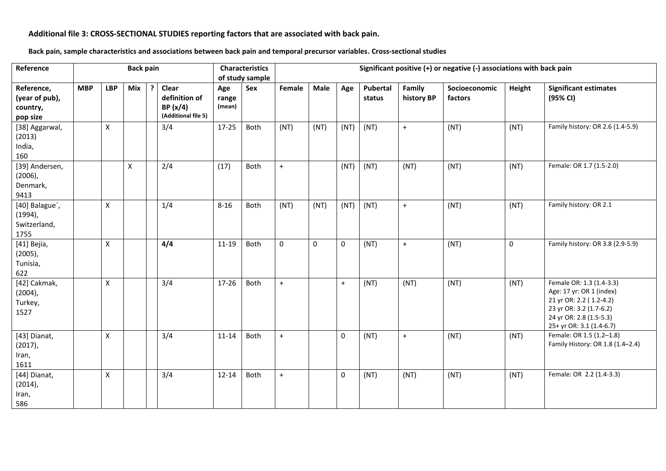## **Additional file 3: CROSS-SECTIONAL STUDIES reporting factors that are associated with back pain.**

|  | Back pain, sample characteristics and associations between back pain and temporal precursor variables. Cross-sectional studies |
|--|--------------------------------------------------------------------------------------------------------------------------------|
|--|--------------------------------------------------------------------------------------------------------------------------------|

| Reference                                            |            |            | <b>Back pain</b> |    |                                                          |                        | <b>Characteristics</b><br>of study sample | Significant positive (+) or negative (-) associations with back pain |           |                     |                    |                      |                          |             |                                                                                                                                                                   |
|------------------------------------------------------|------------|------------|------------------|----|----------------------------------------------------------|------------------------|-------------------------------------------|----------------------------------------------------------------------|-----------|---------------------|--------------------|----------------------|--------------------------|-------------|-------------------------------------------------------------------------------------------------------------------------------------------------------------------|
| Reference,<br>(year of pub),<br>country,<br>pop size | <b>MBP</b> | <b>LBP</b> | Mix              | -7 | Clear<br>definition of<br>BP(x/4)<br>(Additional file 5) | Age<br>range<br>(mean) | Sex                                       | Female                                                               | Male      | Age                 | Pubertal<br>status | Family<br>history BP | Socioeconomic<br>factors | Height      | <b>Significant estimates</b><br>(95% CI)                                                                                                                          |
| [38] Aggarwal,<br>(2013)<br>India,<br>160            |            | X          |                  |    | 3/4                                                      | $17-25$                | Both                                      | (NT)                                                                 | (NT)      | (NT)                | (NT)               | $+$                  | (NT)                     | (NT)        | Family history: OR 2.6 (1.4-5.9)                                                                                                                                  |
| [39] Andersen,<br>$(2006)$ ,<br>Denmark,<br>9413     |            |            | X                |    | 2/4                                                      | (17)                   | Both                                      | $+$                                                                  |           | (NT)                | (NT)               | (NT)                 | (NT)                     | (NT)        | Female: OR 1.7 (1.5-2.0)                                                                                                                                          |
| [40] Balague',<br>$(1994)$ ,<br>Switzerland,<br>1755 |            | X          |                  |    | 1/4                                                      | $8 - 16$               | Both                                      | (NT)                                                                 | (NT)      | (NT)                | (NT)               | $+$                  | (NT)                     | (NT)        | Family history: OR 2.1                                                                                                                                            |
| [41] Bejia,<br>$(2005)$ ,<br>Tunisia,<br>622         |            | X          |                  |    | 4/4                                                      | $11 - 19$              | Both                                      | $\mathbf 0$                                                          | $\pmb{0}$ | $\mathsf{O}\xspace$ | (NT)               | $+$                  | (NT)                     | $\mathbf 0$ | Family history: OR 3.8 (2.9-5.9)                                                                                                                                  |
| [42] Cakmak,<br>$(2004)$ ,<br>Turkey,<br>1527        |            | X          |                  |    | 3/4                                                      | 17-26                  | Both                                      | $+$                                                                  |           | $\ddot{}$           | (NT)               | (NT)                 | (NT)                     | (NT)        | Female OR: 1.3 (1.4-3.3)<br>Age: 17 yr: OR 1 (index)<br>21 yr OR: 2.2 (1.2-4.2)<br>23 yr OR: 3.2 (1.7-6.2)<br>24 yr OR: 2.8 (1.5-5.3)<br>25+ yr OR: 3.1 (1.4-6.7) |
| [43] Dianat,<br>$(2017)$ ,<br>Iran,<br>1611          |            | X          |                  |    | 3/4                                                      | $11 - 14$              | Both                                      | $+$                                                                  |           | $\pmb{0}$           | (NT)               | $+$                  | (NT)                     | (NT)        | Female: OR 1.5 (1.2-1.8)<br>Family History: OR 1.8 (1.4-2.4)                                                                                                      |
| [44] Dianat,<br>$(2014)$ ,<br>Iran,<br>586           |            | X          |                  |    | 3/4                                                      | $12 - 14$              | Both                                      | $+$                                                                  |           | $\pmb{0}$           | (NT)               | (NT)                 | (NT)                     | (NT)        | Female: OR 2.2 (1.4-3.3)                                                                                                                                          |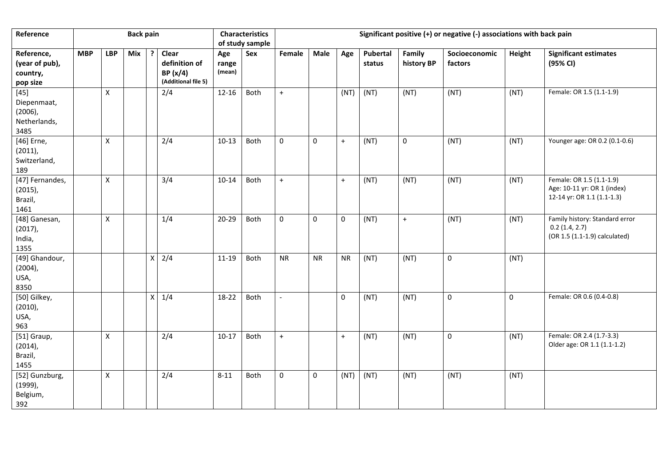| Reference                                                   |            |                    | <b>Back pain</b> |                    |                                                          |                        | <b>Characteristics</b><br>of study sample | Significant positive (+) or negative (-) associations with back pain |             |             |                    |                      |                          |             |                                                                                       |
|-------------------------------------------------------------|------------|--------------------|------------------|--------------------|----------------------------------------------------------|------------------------|-------------------------------------------|----------------------------------------------------------------------|-------------|-------------|--------------------|----------------------|--------------------------|-------------|---------------------------------------------------------------------------------------|
| Reference,<br>(year of pub),<br>country,<br>pop size        | <b>MBP</b> | <b>LBP</b>         | Mix              | ?                  | Clear<br>definition of<br>BP(x/4)<br>(Additional file 5) | Age<br>range<br>(mean) | Sex                                       | Female                                                               | Male        | Age         | Pubertal<br>status | Family<br>history BP | Socioeconomic<br>factors | Height      | <b>Significant estimates</b><br>(95% CI)                                              |
| $[45]$<br>Diepenmaat,<br>$(2006)$ ,<br>Netherlands,<br>3485 |            | X                  |                  |                    | 2/4                                                      | $12 - 16$              | Both                                      | $\ddot{}$                                                            |             | (NT)        | (NT)               | (NT)                 | (NT)                     | (NT)        | Female: OR 1.5 (1.1-1.9)                                                              |
| [46] Erne,<br>$(2011)$ ,<br>Switzerland,<br>189             |            | X                  |                  |                    | 2/4                                                      | $10-13$                | Both                                      | $\pmb{0}$                                                            | $\mathbf 0$ | $\ddot{}$   | (NT)               | $\mathbf 0$          | (NT)                     | (NT)        | Younger age: OR 0.2 (0.1-0.6)                                                         |
| [47] Fernandes,<br>$(2015)$ ,<br>Brazil,<br>1461            |            | X                  |                  |                    | 3/4                                                      | $10 - 14$              | Both                                      | $\ddot{}$                                                            |             | $\ddot{}$   | (NT)               | (NT)                 | (NT)                     | (NT)        | Female: OR 1.5 (1.1-1.9)<br>Age: 10-11 yr: OR 1 (index)<br>12-14 yr: OR 1.1 (1.1-1.3) |
| [48] Ganesan,<br>$(2017)$ ,<br>India,<br>1355               |            | $\pmb{\times}$     |                  |                    | 1/4                                                      | $20 - 29$              | Both                                      | $\mathbf 0$                                                          | $\mathbf 0$ | $\mathsf 0$ | (NT)               | $+$                  | (NT)                     | (NT)        | Family history: Standard error<br>$0.2$ (1.4, 2.7)<br>(OR 1.5 (1.1-1.9) calculated)   |
| [49] Ghandour,<br>$(2004)$ ,<br>USA,<br>8350                |            |                    |                  | $\pmb{\mathsf{X}}$ | 2/4                                                      | $11 - 19$              | Both                                      | <b>NR</b>                                                            | <b>NR</b>   | <b>NR</b>   | (NT)               | (NT)                 | 0                        | (NT)        |                                                                                       |
| [50] Gilkey,<br>$(2010)$ ,<br>USA,<br>963                   |            |                    |                  | Χ                  | 1/4                                                      | 18-22                  | Both                                      |                                                                      |             | $\pmb{0}$   | (NT)               | (NT)                 | $\pmb{0}$                | $\mathbf 0$ | Female: OR 0.6 (0.4-0.8)                                                              |
| [51] Graup,<br>$(2014)$ ,<br>Brazil,<br>1455                |            | $\pmb{\mathsf{X}}$ |                  |                    | 2/4                                                      | $10-17$                | Both                                      | $\ddot{}$                                                            |             | $\ddot{}$   | (NT)               | (NT)                 | $\pmb{0}$                | (NT)        | Female: OR 2.4 (1.7-3.3)<br>Older age: OR 1.1 (1.1-1.2)                               |
| [52] Gunzburg,<br>$(1999)$ ,<br>Belgium,<br>392             |            | $\pmb{\times}$     |                  |                    | 2/4                                                      | $8 - 11$               | Both                                      | $\mathbf 0$                                                          | 0           | (NT)        | (NT)               | (NT)                 | (NT)                     | (NT)        |                                                                                       |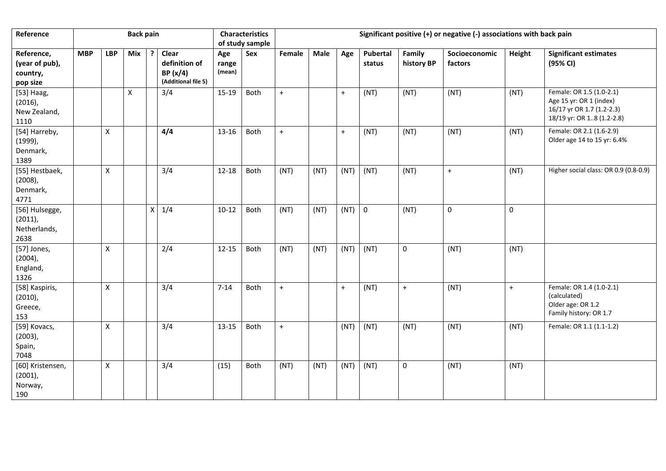| Reference                                            |            |                    | <b>Back pain</b> |             |                                                          |                        | <b>Characteristics</b><br>of study sample | Significant positive (+) or negative (-) associations with back pain |      |           |                    |                      |                          |             |                                                                                                               |
|------------------------------------------------------|------------|--------------------|------------------|-------------|----------------------------------------------------------|------------------------|-------------------------------------------|----------------------------------------------------------------------|------|-----------|--------------------|----------------------|--------------------------|-------------|---------------------------------------------------------------------------------------------------------------|
| Reference,<br>(year of pub),<br>country,<br>pop size | <b>MBP</b> | <b>LBP</b>         | Mix              | 7           | Clear<br>definition of<br>BP(x/4)<br>(Additional file 5) | Age<br>range<br>(mean) | Sex                                       | Female                                                               | Male | Age       | Pubertal<br>status | Family<br>history BP | Socioeconomic<br>factors | Height      | <b>Significant estimates</b><br>(95% CI)                                                                      |
| [53] Haag,<br>$(2016)$ ,<br>New Zealand,<br>1110     |            |                    | $\pmb{\times}$   |             | 3/4                                                      | $15-19$                | Both                                      | $+$                                                                  |      | $+$       | (NT)               | (NT)                 | (NT)                     | (NT)        | Female: OR 1.5 (1.0-2.1)<br>Age 15 yr: OR 1 (index)<br>16/17 yr OR 1.7 (1.2-2.3)<br>18/19 yr: OR 18 (1.2-2.8) |
| [54] Harreby,<br>$(1999)$ ,<br>Denmark,<br>1389      |            | $\mathsf{X}$       |                  |             | 4/4                                                      | 13-16                  | Both                                      | $+$                                                                  |      | $+$       | (NT)               | (NT)                 | (NT)                     | (NT)        | Female: OR 2.1 (1.6-2.9)<br>Older age 14 to 15 yr: 6.4%                                                       |
| [55] Hestbaek,<br>$(2008)$ ,<br>Denmark,<br>4771     |            | $\mathsf{X}$       |                  |             | 3/4                                                      | $12 - 18$              | Both                                      | (NT)                                                                 | (NT) | (NT)      | (NT)               | (NT)                 | $+$                      | (NT)        | Higher social class: OR 0.9 (0.8-0.9)                                                                         |
| [56] Hulsegge,<br>$(2011)$ ,<br>Netherlands,<br>2638 |            |                    |                  | $\mathsf X$ | 1/4                                                      | $10 - 12$              | Both                                      | (NT)                                                                 | (NT) | (NT)      | $\mathbf 0$        | (NT)                 | $\mathbf 0$              | $\mathbf 0$ |                                                                                                               |
| [57] Jones,<br>$(2004)$ ,<br>England,<br>1326        |            | Χ                  |                  |             | 2/4                                                      | $12 - 15$              | Both                                      | (NT)                                                                 | (NT) | (NT)      | (NT)               | $\mathbf{0}$         | (NT)                     | (NT)        |                                                                                                               |
| [58] Kaspiris,<br>$(2010)$ ,<br>Greece,<br>153       |            | X                  |                  |             | 3/4                                                      | $7 - 14$               | Both                                      | $\begin{array}{c} + \end{array}$                                     |      | $\ddot{}$ | (NT)               | $+$                  | (NT)                     | $\ddot{}$   | Female: OR 1.4 (1.0-2.1)<br>(calculated)<br>Older age: OR 1.2<br>Family history: OR 1.7                       |
| [59] Kovacs,<br>$(2003)$ ,<br>Spain,<br>7048         |            | $\pmb{\mathsf{X}}$ |                  |             | 3/4                                                      | 13-15                  | Both                                      | $+$                                                                  |      | (NT)      | (NT)               | (NT)                 | (NT)                     | (NT)        | Female: OR 1.1 (1.1-1.2)                                                                                      |
| [60] Kristensen,<br>$(2001)$ ,<br>Norway,<br>190     |            | Χ                  |                  |             | 3/4                                                      | (15)                   | Both                                      | (NT)                                                                 | (NT) | (NT)      | (NT)               | $\mathbf 0$          | (NT)                     | (NT)        |                                                                                                               |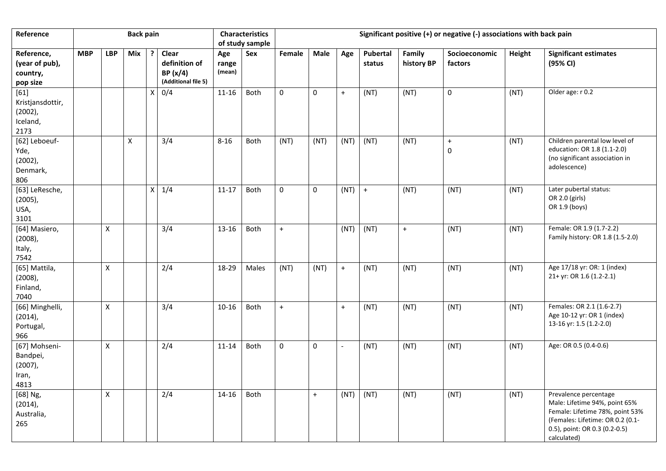| Reference                                                    |            |                    | <b>Back pain</b> |                    |                                                             |                        | <b>Characteristics</b><br>of study sample | Significant positive (+) or negative (-) associations with back pain |             |                          |                    |                      |                          |        |                                                                                                                                                                               |
|--------------------------------------------------------------|------------|--------------------|------------------|--------------------|-------------------------------------------------------------|------------------------|-------------------------------------------|----------------------------------------------------------------------|-------------|--------------------------|--------------------|----------------------|--------------------------|--------|-------------------------------------------------------------------------------------------------------------------------------------------------------------------------------|
| Reference,<br>(year of pub),<br>country,<br>pop size         | <b>MBP</b> | <b>LBP</b>         | Mix              |                    | Clear<br>definition of<br>BP $(x/4)$<br>(Additional file 5) | Age<br>range<br>(mean) | Sex                                       | Female                                                               | Male        | Age                      | Pubertal<br>status | Family<br>history BP | Socioeconomic<br>factors | Height | <b>Significant estimates</b><br>(95% CI)                                                                                                                                      |
| $[61]$<br>Kristjansdottir,<br>$(2002)$ ,<br>Iceland,<br>2173 |            |                    |                  | $\pmb{\mathsf{X}}$ | 0/4                                                         | $11 - 16$              | Both                                      | $\mathbf 0$                                                          | $\mathbf 0$ | $\ddot{}$                | (NT)               | (NT)                 | 0                        | (NT)   | Older age: r 0.2                                                                                                                                                              |
| [62] Leboeuf-<br>Yde,<br>$(2002)$ ,<br>Denmark,<br>806       |            |                    | Χ                |                    | 3/4                                                         | $8 - 16$               | Both                                      | (NT)                                                                 | (NT)        | (NT)                     | (NT)               | (NT)                 | $\ddot{}$<br>0           | (NT)   | Children parental low level of<br>education: OR 1.8 (1.1-2.0)<br>(no significant association in<br>adolescence)                                                               |
| [63] LeResche,<br>$(2005)$ ,<br>USA,<br>3101                 |            |                    |                  | Χ                  | 1/4                                                         | $11 - 17$              | Both                                      | $\pmb{0}$                                                            | 0           | (NT)                     | $+$                | (NT)                 | (NT)                     | (NT)   | Later pubertal status:<br>OR 2.0 (girls)<br>OR 1.9 (boys)                                                                                                                     |
| [64] Masiero,<br>$(2008)$ ,<br>Italy,<br>7542                |            | X                  |                  |                    | 3/4                                                         | 13-16                  | Both                                      | $+$                                                                  |             | (NT)                     | (NT)               | $+$                  | (NT)                     | (NT)   | Female: OR 1.9 (1.7-2.2)<br>Family history: OR 1.8 (1.5-2.0)                                                                                                                  |
| [65] Mattila,<br>$(2008)$ ,<br>Finland,<br>7040              |            | $\pmb{\mathsf{X}}$ |                  |                    | 2/4                                                         | 18-29                  | Males                                     | (NT)                                                                 | (NT)        | $+$                      | (NT)               | (NT)                 | (NT)                     | (NT)   | Age 17/18 yr: OR: 1 (index)<br>21+ yr: OR 1.6 (1.2-2.1)                                                                                                                       |
| [66] Minghelli,<br>$(2014)$ ,<br>Portugal,<br>966            |            | X                  |                  |                    | 3/4                                                         | $10 - 16$              | Both                                      | $\ddot{}$                                                            |             | $\ddot{}$                | (NT)               | (NT)                 | (NT)                     | (NT)   | Females: OR 2.1 (1.6-2.7)<br>Age 10-12 yr: OR 1 (index)<br>13-16 yr: 1.5 (1.2-2.0)                                                                                            |
| [67] Mohseni-<br>Bandpei,<br>$(2007)$ ,<br>Iran,<br>4813     |            | X                  |                  |                    | 2/4                                                         | $11 - 14$              | Both                                      | 0                                                                    | 0           | $\overline{\phantom{a}}$ | (NT)               | (NT)                 | (NT)                     | (NT)   | Age: OR 0.5 (0.4-0.6)                                                                                                                                                         |
| [68] Ng,<br>$(2014)$ ,<br>Australia,<br>265                  |            | X                  |                  |                    | 2/4                                                         | $14 - 16$              | Both                                      |                                                                      | $+$         | (NT)                     | (NT)               | (NT)                 | (NT)                     | (NT)   | Prevalence percentage<br>Male: Lifetime 94%, point 65%<br>Female: Lifetime 78%, point 53%<br>(Females: Lifetime: OR 0.2 (0.1-<br>0.5), point: OR 0.3 (0.2-0.5)<br>calculated) |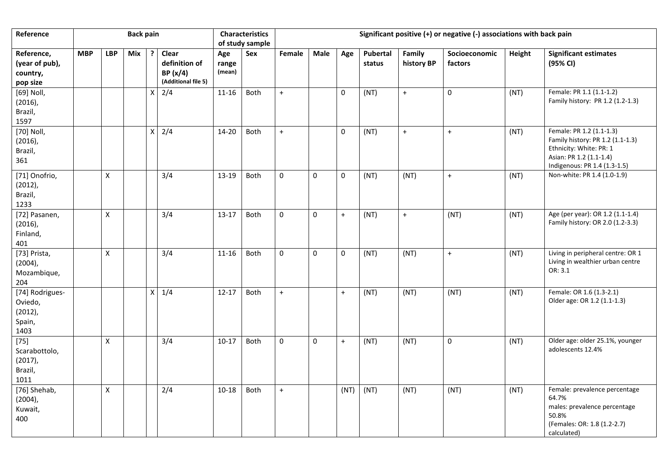| Reference                                                  |            |              | <b>Back pain</b> |                    |                                                          |                        | <b>Characteristics</b><br>of study sample | Significant positive (+) or negative (-) associations with back pain |              |                  |                    |                      |                          |        |                                                                                                                                                    |
|------------------------------------------------------------|------------|--------------|------------------|--------------------|----------------------------------------------------------|------------------------|-------------------------------------------|----------------------------------------------------------------------|--------------|------------------|--------------------|----------------------|--------------------------|--------|----------------------------------------------------------------------------------------------------------------------------------------------------|
| Reference,<br>(year of pub),<br>country,<br>pop size       | <b>MBP</b> | <b>LBP</b>   | <b>Mix</b>       | ?                  | Clear<br>definition of<br>BP(x/4)<br>(Additional file 5) | Age<br>range<br>(mean) | Sex                                       | Female                                                               | Male         | Age              | Pubertal<br>status | Family<br>history BP | Socioeconomic<br>factors | Height | <b>Significant estimates</b><br>(95% CI)                                                                                                           |
| [69] Noll,<br>$(2016)$ ,<br>Brazil,<br>1597                |            |              |                  | $\pmb{\mathsf{X}}$ | 2/4                                                      | $11 - 16$              | Both                                      | $\bf{+}$                                                             |              | $\mathbf 0$      | (NT)               | $\pm$                | $\pmb{0}$                | (NT)   | Female: PR 1.1 (1.1-1.2)<br>Family history: PR 1.2 (1.2-1.3)                                                                                       |
| [70] Noll,<br>$(2016)$ ,<br>Brazil,<br>361                 |            |              |                  | $\mathsf{X}$       | 2/4                                                      | $14 - 20$              | Both                                      | $+$                                                                  |              | 0                | (NT)               | $+$                  | $+$                      | (NT)   | Female: PR 1.2 (1.1-1.3)<br>Family history: PR 1.2 (1.1-1.3)<br>Ethnicity: White: PR: 1<br>Asian: PR 1.2 (1.1-1.4)<br>Indigenous: PR 1.4 (1.3-1.5) |
| [71] Onofrio,<br>(2012),<br>Brazil,<br>1233                |            | X            |                  |                    | 3/4                                                      | 13-19                  | Both                                      | $\mathbf 0$                                                          | $\mathsf{O}$ | $\mathbf 0$      | (NT)               | (NT)                 | $+$                      | (NT)   | Non-white: PR 1.4 (1.0-1.9)                                                                                                                        |
| [72] Pasanen,<br>$(2016)$ ,<br>Finland,<br>401             |            | X            |                  |                    | 3/4                                                      | $13-17$                | Both                                      | $\pmb{0}$                                                            | $\pmb{0}$    | $\boldsymbol{+}$ | (NT)               | $+$                  | (NT)                     | (NT)   | Age (per year): OR 1.2 (1.1-1.4)<br>Family history: OR 2.0 (1.2-3.3)                                                                               |
| [73] Prista,<br>$(2004)$ ,<br>Mozambique,<br>204           |            | $\mathsf{x}$ |                  |                    | 3/4                                                      | $11 - 16$              | Both                                      | $\mathbf 0$                                                          | $\pmb{0}$    | $\mathbf 0$      | (NT)               | (NT)                 | $+$                      | (NT)   | Living in peripheral centre: OR 1<br>Living in wealthier urban centre<br>OR: 3.1                                                                   |
| [74] Rodrigues-<br>Oviedo,<br>$(2012)$ ,<br>Spain,<br>1403 |            |              |                  | $\mathsf{X}$       | 1/4                                                      | $12 - 17$              | Both                                      | $+$                                                                  |              | $+$              | (NT)               | (NT)                 | (NT)                     | (NT)   | Female: OR 1.6 (1.3-2.1)<br>Older age: OR 1.2 (1.1-1.3)                                                                                            |
| $[75]$<br>Scarabottolo,<br>$(2017)$ ,<br>Brazil,<br>1011   |            | $\mathsf X$  |                  |                    | 3/4                                                      | $10-17$                | Both                                      | $\mathbf 0$                                                          | $\mathsf{O}$ | $+$              | (NT)               | (NT)                 | $\mathsf{O}\xspace$      | (NT)   | Older age: older 25.1%, younger<br>adolescents 12.4%                                                                                               |
| [76] Shehab,<br>$(2004)$ ,<br>Kuwait,<br>400               |            | $\mathsf{x}$ |                  |                    | 2/4                                                      | $10 - 18$              | Both                                      | $+$                                                                  |              | (NT)             | (NT)               | (NT)                 | (NT)                     | (NT)   | Female: prevalence percentage<br>64.7%<br>males: prevalence percentage<br>50.8%<br>(Females: OR: 1.8 (1.2-2.7)<br>calculated)                      |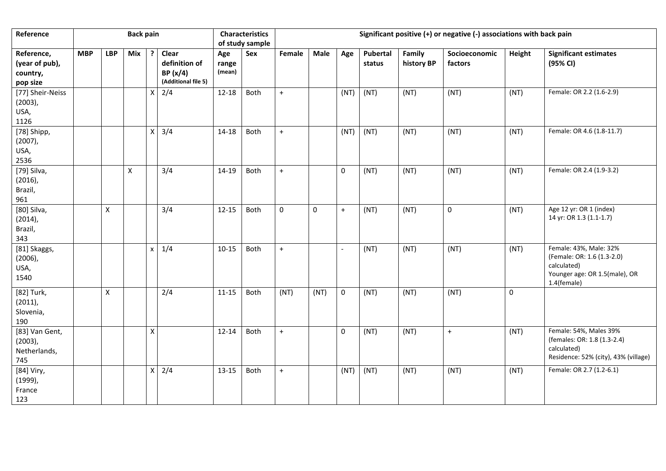| Reference                                            |            |              | <b>Back pain</b> |                    |                                                          |                        | <b>Characteristics</b><br>of study sample | Significant positive (+) or negative (-) associations with back pain |      |                          |                    |                      |                          |        |                                                                                                                     |
|------------------------------------------------------|------------|--------------|------------------|--------------------|----------------------------------------------------------|------------------------|-------------------------------------------|----------------------------------------------------------------------|------|--------------------------|--------------------|----------------------|--------------------------|--------|---------------------------------------------------------------------------------------------------------------------|
| Reference,<br>(year of pub),<br>country,<br>pop size | <b>MBP</b> | <b>LBP</b>   | Mix              | ?                  | Clear<br>definition of<br>BP(x/4)<br>(Additional file 5) | Age<br>range<br>(mean) | Sex                                       | Female                                                               | Male | Age                      | Pubertal<br>status | Family<br>history BP | Socioeconomic<br>factors | Height | <b>Significant estimates</b><br>(95% CI)                                                                            |
| [77] Sheir-Neiss<br>$(2003)$ ,<br>USA,<br>1126       |            |              |                  | X                  | 2/4                                                      | $12 - 18$              | Both                                      | $+$                                                                  |      | (NT)                     | (NT)               | (NT)                 | (NT)                     | (NT)   | Female: OR 2.2 (1.6-2.9)                                                                                            |
| [78] Shipp,<br>$(2007)$ ,<br>USA,<br>2536            |            |              |                  | $\mathsf X$        | 3/4                                                      | $14 - 18$              | Both                                      | $+$                                                                  |      | (NT)                     | (NT)               | (NT)                 | (NT)                     | (NT)   | Female: OR 4.6 (1.8-11.7)                                                                                           |
| [79] Silva,<br>$(2016)$ ,<br>Brazil,<br>961          |            |              | $\pmb{\times}$   |                    | 3/4                                                      | 14-19                  | Both                                      | $+$                                                                  |      | 0                        | (NT)               | (NT)                 | (NT)                     | (NT)   | Female: OR 2.4 (1.9-3.2)                                                                                            |
| [80] Silva,<br>$(2014)$ ,<br>Brazil,<br>343          |            | $\mathsf{x}$ |                  |                    | 3/4                                                      | $12 - 15$              | Both                                      | $\pmb{0}$                                                            | 0    | $+$                      | (NT)               | (NT)                 | 0                        | (NT)   | Age 12 yr: OR 1 (index)<br>14 yr: OR 1.3 (1.1-1.7)                                                                  |
| [81] Skaggs,<br>$(2006)$ ,<br>USA,<br>1540           |            |              |                  | X                  | 1/4                                                      | $10 - 15$              | Both                                      | $\ddot{}$                                                            |      | $\overline{\phantom{0}}$ | (NT)               | (NT)                 | (NT)                     | (NT)   | Female: 43%, Male: 32%<br>(Female: OR: 1.6 (1.3-2.0)<br>calculated)<br>Younger age: OR 1.5(male), OR<br>1.4(female) |
| [82] Turk,<br>$(2011)$ ,<br>Slovenia,<br>190         |            | X            |                  |                    | 2/4                                                      | $11 - 15$              | Both                                      | (NT)                                                                 | (NT) | $\mathbf 0$              | (NT)               | (NT)                 | (NT)                     | 0      |                                                                                                                     |
| [83] Van Gent,<br>$(2003)$ ,<br>Netherlands,<br>745  |            |              |                  | $\pmb{\mathsf{X}}$ |                                                          | $12 - 14$              | Both                                      | $\ddot{}$                                                            |      | $\pmb{0}$                | (NT)               | (NT)                 | $+$                      | (NT)   | Female: 54%, Males 39%<br>(females: OR: 1.8 (1.3-2.4)<br>calculated)<br>Residence: 52% (city), 43% (village)        |
| [84] Viry,<br>$(1999)$ ,<br>France<br>123            |            |              |                  | X                  | 2/4                                                      | 13-15                  | Both                                      | $+$                                                                  |      | (NT)                     | (NT)               | (NT)                 | (NT)                     | (NT)   | Female: OR 2.7 (1.2-6.1)                                                                                            |